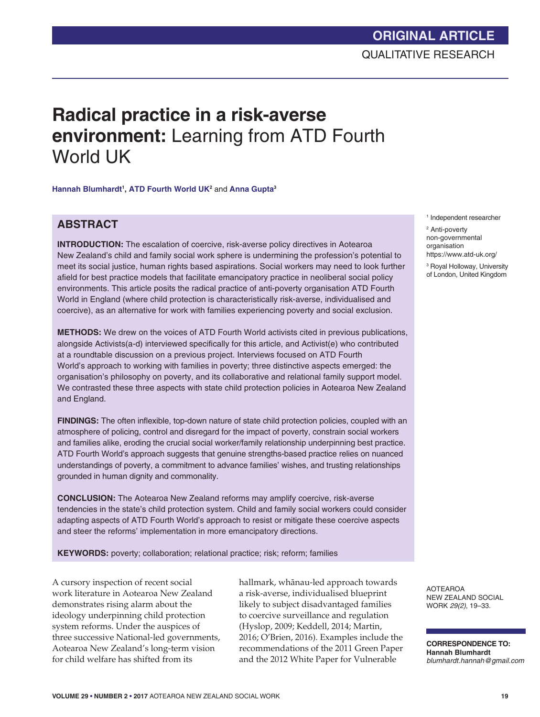# **ORIGINAL ARTICLE** QUALITATIVE RESEARCH

# **Radical practice in a risk-averse environment:** Learning from ATD Fourth World UK

**Hannah Blumhardt1 , ATD Fourth World UK2** and **Anna Gupta3**

# **ABSTRACT**

**INTRODUCTION:** The escalation of coercive, risk-averse policy directives in Aotearoa New Zealand's child and family social work sphere is undermining the profession's potential to meet its social justice, human rights based aspirations. Social workers may need to look further afield for best practice models that facilitate emancipatory practice in neoliberal social policy environments. This article posits the radical practice of anti-poverty organisation ATD Fourth World in England (where child protection is characteristically risk-averse, individualised and coercive), as an alternative for work with families experiencing poverty and social exclusion.

**METHODS:** We drew on the voices of ATD Fourth World activists cited in previous publications, alongside Activists(a-d) interviewed specifically for this article, and Activist(e) who contributed at a roundtable discussion on a previous project. Interviews focused on ATD Fourth World's approach to working with families in poverty; three distinctive aspects emerged: the organisation's philosophy on poverty, and its collaborative and relational family support model. We contrasted these three aspects with state child protection policies in Aotearoa New Zealand and England.

**FINDINGS:** The often inflexible, top-down nature of state child protection policies, coupled with an atmosphere of policing, control and disregard for the impact of poverty, constrain social workers and families alike, eroding the crucial social worker/family relationship underpinning best practice. ATD Fourth World's approach suggests that genuine strengths-based practice relies on nuanced understandings of poverty, a commitment to advance families' wishes, and trusting relationships grounded in human dignity and commonality.

**CONCLUSION:** The Aotearoa New Zealand reforms may amplify coercive, risk-averse tendencies in the state's child protection system. Child and family social workers could consider adapting aspects of ATD Fourth World's approach to resist or mitigate these coercive aspects and steer the reforms' implementation in more emancipatory directions.

**KEYWORDS:** poverty; collaboration; relational practice; risk; reform; families

A cursory inspection of recent social work literature in Aotearoa New Zealand demonstrates rising alarm about the ideology underpinning child protection system reforms. Under the auspices of three successive National-led governments, Aotearoa New Zealand's long-term vision for child welfare has shifted from its

hallmark, whánau-led approach towards a risk-averse, individualised blueprint likely to subject disadvantaged families to coercive surveillance and regulation (Hyslop, 2009; Keddell, 2014; Martin, 2016; O'Brien, 2016). Examples include the recommendations of the 2011 Green Paper and the 2012 White Paper for Vulnerable

1 Independent researcher

2 Anti-poverty non-governmental organisation https://www.atd-uk.org/

3 Royal Holloway, University of London, United Kingdom

AOTEAROA NEW ZEALAND SOCIAL WORK *29(2)*, 19–33.

**CORRESPONDENCE TO: Hannah Blumhardt** *blumhardt.hannah@gmail.com*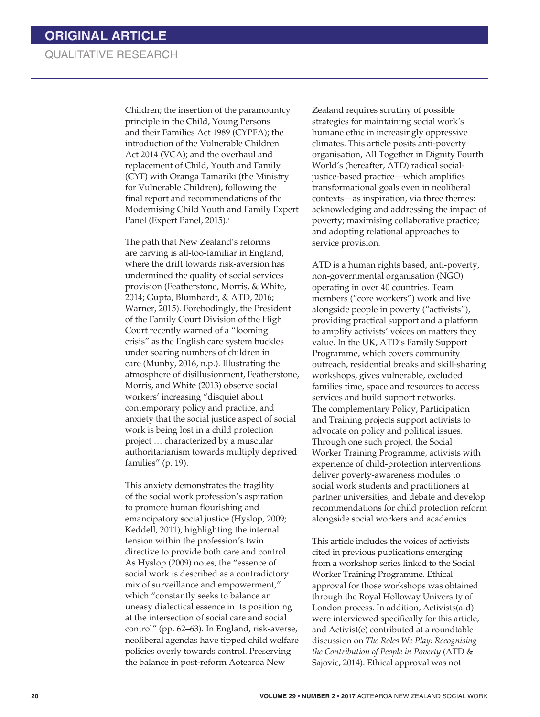# QUALITATIVE RESEARCH

Children; the insertion of the paramountcy principle in the Child, Young Persons and their Families Act 1989 (CYPFA); the introduction of the Vulnerable Children Act 2014 (VCA); and the overhaul and replacement of Child, Youth and Family (CYF) with Oranga Tamariki (the Ministry for Vulnerable Children), following the final report and recommendations of the Modernising Child Youth and Family Expert Panel (Expert Panel, 2015).<sup>i</sup>

The path that New Zealand's reforms are carving is all-too-familiar in England, where the drift towards risk-aversion has undermined the quality of social services provision (Featherstone, Morris, & White, 2014; Gupta, Blumhardt, & ATD, 2016; Warner, 2015). Forebodingly, the President of the Family Court Division of the High Court recently warned of a "looming crisis" as the English care system buckles under soaring numbers of children in care (Munby, 2016, n.p.). Illustrating the atmosphere of disillusionment, Featherstone, Morris, and White (2013) observe social workers' increasing "disquiet about contemporary policy and practice, and anxiety that the social justice aspect of social work is being lost in a child protection project … characterized by a muscular authoritarianism towards multiply deprived families" (p. 19).

This anxiety demonstrates the fragility of the social work profession's aspiration to promote human flourishing and emancipatory social justice (Hyslop, 2009; Keddell, 2011), highlighting the internal tension within the profession's twin directive to provide both care and control. As Hyslop (2009) notes, the "essence of social work is described as a contradictory mix of surveillance and empowerment," which "constantly seeks to balance an uneasy dialectical essence in its positioning at the intersection of social care and social control" (pp. 62–63). In England, risk-averse, neoliberal agendas have tipped child welfare policies overly towards control. Preserving the balance in post-reform Aotearoa New

Zealand requires scrutiny of possible strategies for maintaining social work's humane ethic in increasingly oppressive climates. This article posits anti-poverty organisation, All Together in Dignity Fourth World's (hereafter, ATD) radical socialjustice-based practice—which amplifies transformational goals even in neoliberal contexts—as inspiration, via three themes: acknowledging and addressing the impact of poverty; maximising collaborative practice; and adopting relational approaches to service provision.

ATD is a human rights based, anti-poverty, non-governmental organisation (NGO) operating in over 40 countries. Team members ("core workers") work and live alongside people in poverty ("activists"), providing practical support and a platform to amplify activists' voices on matters they value. In the UK, ATD's Family Support Programme, which covers community outreach, residential breaks and skill-sharing workshops, gives vulnerable, excluded families time, space and resources to access services and build support networks. The complementary Policy, Participation and Training projects support activists to advocate on policy and political issues. Through one such project, the Social Worker Training Programme, activists with experience of child-protection interventions deliver poverty-awareness modules to social work students and practitioners at partner universities, and debate and develop recommendations for child protection reform alongside social workers and academics.

This article includes the voices of activists cited in previous publications emerging from a workshop series linked to the Social Worker Training Programme. Ethical approval for those workshops was obtained through the Royal Holloway University of London process. In addition, Activists(a-d) were interviewed specifically for this article, and Activist(e) contributed at a roundtable discussion on *The Roles We Play: Recognising the Contribution of People in Poverty* (ATD & Sajovic, 2014). Ethical approval was not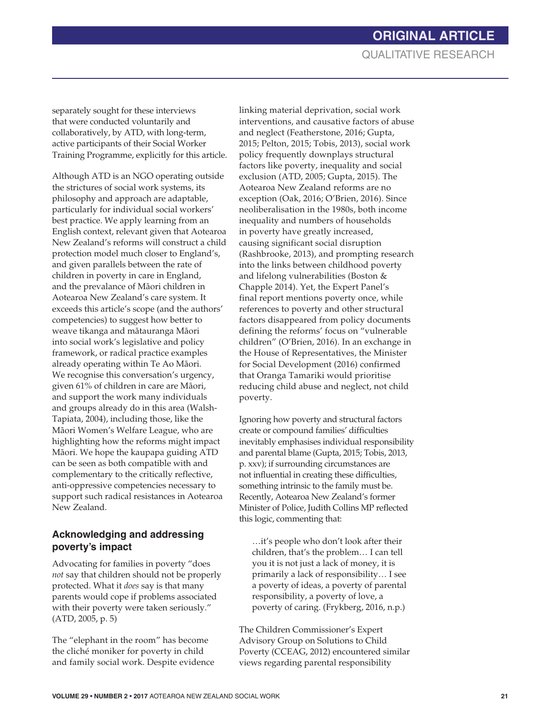separately sought for these interviews that were conducted voluntarily and collaboratively, by ATD, with long-term, active participants of their Social Worker Training Programme, explicitly for this article.

Although ATD is an NGO operating outside the strictures of social work systems, its philosophy and approach are adaptable, particularly for individual social workers' best practice. We apply learning from an English context, relevant given that Aotearoa New Zealand's reforms will construct a child protection model much closer to England's, and given parallels between the rate of children in poverty in care in England, and the prevalance of Máori children in Aotearoa New Zealand's care system. It exceeds this article's scope (and the authors' competencies) to suggest how better to weave tikanga and mátauranga Máori into social work's legislative and policy framework, or radical practice examples already operating within Te Ao Máori. We recognise this conversation's urgency, given 61% of children in care are Máori, and support the work many individuals and groups already do in this area (Walsh-Tapiata, 2004), including those, like the Máori Women's Welfare League, who are highlighting how the reforms might impact Máori. We hope the kaupapa guiding ATD can be seen as both compatible with and complementary to the critically reflective, anti-oppressive competencies necessary to support such radical resistances in Aotearoa New Zealand.

# **Acknowledging and addressing poverty's impact**

Advocating for families in poverty "does *not* say that children should not be properly protected. What it *does* say is that many parents would cope if problems associated with their poverty were taken seriously." (ATD, 2005, p. 5)

The "elephant in the room" has become the cliché moniker for poverty in child and family social work. Despite evidence linking material deprivation, social work interventions, and causative factors of abuse and neglect (Featherstone, 2016; Gupta, 2015; Pelton, 2015; Tobis, 2013), social work policy frequently downplays structural factors like poverty, inequality and social exclusion (ATD, 2005; Gupta, 2015). The Aotearoa New Zealand reforms are no exception (Oak, 2016; O'Brien, 2016). Since neoliberalisation in the 1980s, both income inequality and numbers of households in poverty have greatly increased, causing significant social disruption (Rashbrooke, 2013), and prompting research into the links between childhood poverty and lifelong vulnerabilities (Boston & Chapple 2014). Yet, the Expert Panel's final report mentions poverty once, while references to poverty and other structural factors disappeared from policy documents defining the reforms' focus on "vulnerable children" (O'Brien, 2016). In an exchange in the House of Representatives, the Minister for Social Development (2016) confirmed that Oranga Tamariki would prioritise reducing child abuse and neglect, not child poverty.

Ignoring how poverty and structural factors create or compound families' difficulties inevitably emphasises individual responsibility and parental blame (Gupta, 2015; Tobis, 2013, p. xxv); if surrounding circumstances are not influential in creating these difficulties, something intrinsic to the family must be. Recently, Aotearoa New Zealand's former Minister of Police, Judith Collins MP reflected this logic, commenting that:

…it's people who don't look after their children, that's the problem… I can tell you it is not just a lack of money, it is primarily a lack of responsibility… I see a poverty of ideas, a poverty of parental responsibility, a poverty of love, a poverty of caring. (Frykberg, 2016, n.p.)

The Children Commissioner's Expert Advisory Group on Solutions to Child Poverty (CCEAG, 2012) encountered similar views regarding parental responsibility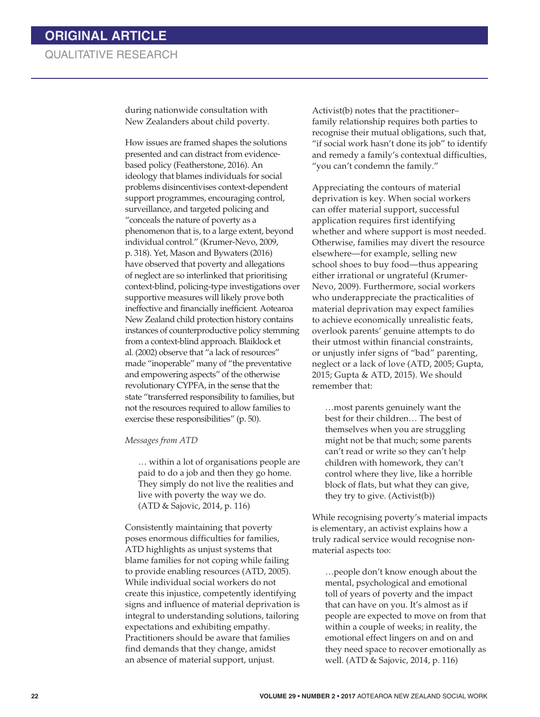during nationwide consultation with New Zealanders about child poverty.

How issues are framed shapes the solutions presented and can distract from evidencebased policy (Featherstone, 2016). An ideology that blames individuals for social problems disincentivises context-dependent support programmes, encouraging control, surveillance, and targeted policing and "conceals the nature of poverty as a phenomenon that is, to a large extent, beyond individual control." (Krumer-Nevo, 2009, p. 318). Yet, Mason and Bywaters (2016) have observed that poverty and allegations of neglect are so interlinked that prioritising context-blind, policing-type investigations over supportive measures will likely prove both ineffective and financially inefficient. Aotearoa New Zealand child protection history contains instances of counterproductive policy stemming from a context-blind approach. Blaiklock et al. (2002) observe that "a lack of resources" made "inoperable" many of "the preventative and empowering aspects" of the otherwise revolutionary CYPFA, in the sense that the state "transferred responsibility to families, but not the resources required to allow families to exercise these responsibilities" (p. 50).

*Messages from ATD* 

… within a lot of organisations people are paid to do a job and then they go home. They simply do not live the realities and live with poverty the way we do. (ATD & Sajovic, 2014, p. 116)

Consistently maintaining that poverty poses enormous difficulties for families, ATD highlights as unjust systems that blame families for not coping while failing to provide enabling resources (ATD, 2005). While individual social workers do not create this injustice, competently identifying signs and influence of material deprivation is integral to understanding solutions, tailoring expectations and exhibiting empathy. Practitioners should be aware that families find demands that they change, amidst an absence of material support, unjust.

Activist(b) notes that the practitioner– family relationship requires both parties to recognise their mutual obligations, such that, "if social work hasn't done its job" to identify and remedy a family's contextual difficulties, "you can't condemn the family."

Appreciating the contours of material deprivation is key. When social workers can offer material support, successful application requires first identifying whether and where support is most needed. Otherwise, families may divert the resource elsewhere—for example, selling new school shoes to buy food—thus appearing either irrational or ungrateful (Krumer-Nevo, 2009). Furthermore, social workers who underappreciate the practicalities of material deprivation may expect families to achieve economically unrealistic feats, overlook parents' genuine attempts to do their utmost within financial constraints, or unjustly infer signs of "bad" parenting, neglect or a lack of love (ATD, 2005; Gupta, 2015; Gupta & ATD, 2015). We should remember that:

…most parents genuinely want the best for their children… The best of themselves when you are struggling might not be that much; some parents can't read or write so they can't help children with homework, they can't control where they live, like a horrible block of flats, but what they can give, they try to give. (Activist(b))

While recognising poverty's material impacts is elementary, an activist explains how a truly radical service would recognise nonmaterial aspects too:

…people don't know enough about the mental, psychological and emotional toll of years of poverty and the impact that can have on you. It's almost as if people are expected to move on from that within a couple of weeks; in reality, the emotional effect lingers on and on and they need space to recover emotionally as well. (ATD & Sajovic, 2014, p. 116)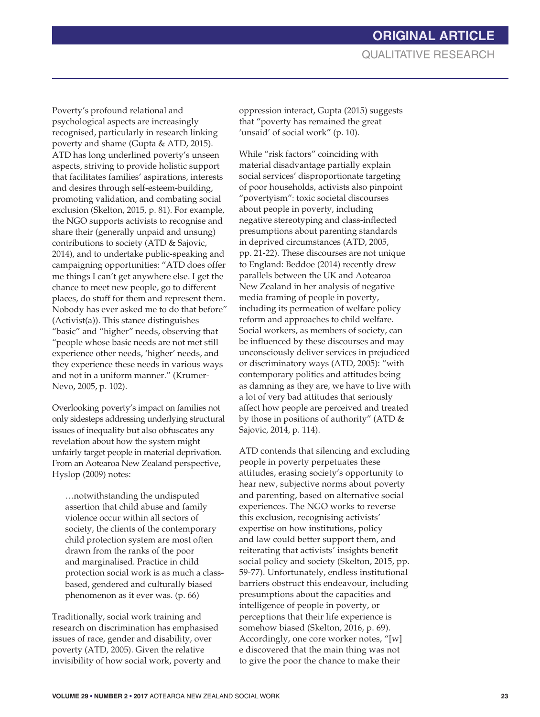Poverty's profound relational and psychological aspects are increasingly recognised, particularly in research linking poverty and shame (Gupta & ATD, 2015). ATD has long underlined poverty's unseen aspects, striving to provide holistic support that facilitates families' aspirations, interests and desires through self-esteem-building, promoting validation, and combating social exclusion (Skelton, 2015, p. 81). For example, the NGO supports activists to recognise and share their (generally unpaid and unsung) contributions to society (ATD & Sajovic, 2014), and to undertake public-speaking and campaigning opportunities: "ATD does offer me things I can't get anywhere else. I get the chance to meet new people, go to different places, do stuff for them and represent them. Nobody has ever asked me to do that before" (Activist(a)). This stance distinguishes "basic" and "higher" needs, observing that "people whose basic needs are not met still experience other needs, 'higher' needs, and they experience these needs in various ways and not in a uniform manner." (Krumer-Nevo, 2005, p. 102).

Overlooking poverty's impact on families not only sidesteps addressing underlying structural issues of inequality but also obfuscates any revelation about how the system might unfairly target people in material deprivation. From an Aotearoa New Zealand perspective, Hyslop (2009) notes:

…notwithstanding the undisputed assertion that child abuse and family violence occur within all sectors of society, the clients of the contemporary child protection system are most often drawn from the ranks of the poor and marginalised. Practice in child protection social work is as much a classbased, gendered and culturally biased phenomenon as it ever was. (p. 66)

Traditionally, social work training and research on discrimination has emphasised issues of race, gender and disability, over poverty (ATD, 2005). Given the relative invisibility of how social work, poverty and oppression interact, Gupta (2015) suggests that "poverty has remained the great 'unsaid' of social work" (p. 10).

While "risk factors" coinciding with material disadvantage partially explain social services' disproportionate targeting of poor households, activists also pinpoint "povertyism": toxic societal discourses about people in poverty, including negative stereotyping and class-inflected presumptions about parenting standards in deprived circumstances (ATD, 2005, pp. 21-22). These discourses are not unique to England: Beddoe (2014) recently drew parallels between the UK and Aotearoa New Zealand in her analysis of negative media framing of people in poverty, including its permeation of welfare policy reform and approaches to child welfare. Social workers, as members of society, can be influenced by these discourses and may unconsciously deliver services in prejudiced or discriminatory ways (ATD, 2005): "with contemporary politics and attitudes being as damning as they are, we have to live with a lot of very bad attitudes that seriously affect how people are perceived and treated by those in positions of authority" (ATD & Sajovic, 2014, p. 114).

ATD contends that silencing and excluding people in poverty perpetuates these attitudes, erasing society's opportunity to hear new, subjective norms about poverty and parenting, based on alternative social experiences. The NGO works to reverse this exclusion, recognising activists' expertise on how institutions, policy and law could better support them, and reiterating that activists' insights benefit social policy and society (Skelton, 2015, pp. 59-77). Unfortunately, endless institutional barriers obstruct this endeavour, including presumptions about the capacities and intelligence of people in poverty, or perceptions that their life experience is somehow biased (Skelton, 2016, p. 69). Accordingly, one core worker notes, "[w] e discovered that the main thing was not to give the poor the chance to make their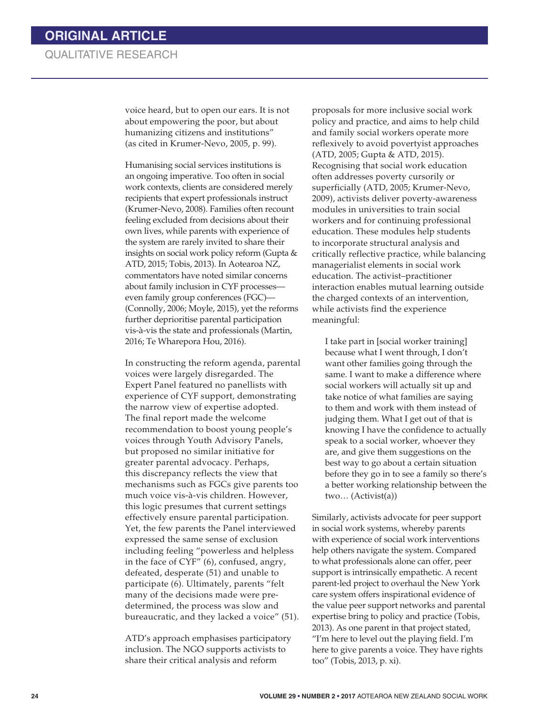voice heard, but to open our ears. It is not about empowering the poor, but about humanizing citizens and institutions" (as cited in Krumer-Nevo, 2005, p. 99).

Humanising social services institutions is an ongoing imperative. Too often in social work contexts, clients are considered merely recipients that expert professionals instruct (Krumer-Nevo, 2008). Families often recount feeling excluded from decisions about their own lives, while parents with experience of the system are rarely invited to share their insights on social work policy reform (Gupta & ATD, 2015; Tobis, 2013). In Aotearoa NZ, commentators have noted similar concerns about family inclusion in CYF processes even family group conferences (FGC)— (Connolly, 2006; Moyle, 2015), yet the reforms further deprioritise parental participation vis-à-vis the state and professionals (Martin, 2016; Te Wharepora Hou, 2016).

In constructing the reform agenda, parental voices were largely disregarded. The Expert Panel featured no panellists with experience of CYF support, demonstrating the narrow view of expertise adopted. The final report made the welcome recommendation to boost young people's voices through Youth Advisory Panels, but proposed no similar initiative for greater parental advocacy. Perhaps, this discrepancy reflects the view that mechanisms such as FGCs give parents too much voice vis-à-vis children. However, this logic presumes that current settings effectively ensure parental participation. Yet, the few parents the Panel interviewed expressed the same sense of exclusion including feeling "powerless and helpless in the face of CYF" (6), confused, angry, defeated, desperate (51) and unable to participate (6). Ultimately, parents "felt many of the decisions made were predetermined, the process was slow and bureaucratic, and they lacked a voice" (51).

ATD's approach emphasises participatory inclusion. The NGO supports activists to share their critical analysis and reform

proposals for more inclusive social work policy and practice, and aims to help child and family social workers operate more reflexively to avoid povertyist approaches (ATD, 2005; Gupta & ATD, 2015). Recognising that social work education often addresses poverty cursorily or superficially (ATD, 2005; Krumer-Nevo, 2009), activists deliver poverty-awareness modules in universities to train social workers and for continuing professional education. These modules help students to incorporate structural analysis and critically reflective practice, while balancing managerialist elements in social work education. The activist–practitioner interaction enables mutual learning outside the charged contexts of an intervention, while activists find the experience meaningful:

I take part in [social worker training] because what I went through, I don't want other families going through the same. I want to make a difference where social workers will actually sit up and take notice of what families are saying to them and work with them instead of judging them. What I get out of that is knowing I have the confidence to actually speak to a social worker, whoever they are, and give them suggestions on the best way to go about a certain situation before they go in to see a family so there's a better working relationship between the two… (Activist(a))

Similarly, activists advocate for peer support in social work systems, whereby parents with experience of social work interventions help others navigate the system. Compared to what professionals alone can offer, peer support is intrinsically empathetic. A recent parent-led project to overhaul the New York care system offers inspirational evidence of the value peer support networks and parental expertise bring to policy and practice (Tobis, 2013). As one parent in that project stated, "I'm here to level out the playing field. I'm here to give parents a voice. They have rights too" (Tobis, 2013, p. xi).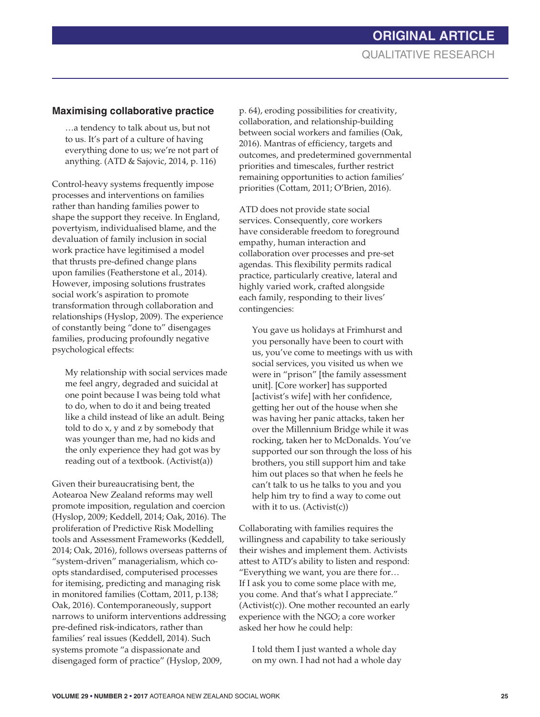# **Maximising collaborative practice**

…a tendency to talk about us, but not to us. It's part of a culture of having everything done to us; we're not part of anything. (ATD & Sajovic, 2014, p. 116)

Control-heavy systems frequently impose processes and interventions on families rather than handing families power to shape the support they receive. In England, povertyism, individualised blame, and the devaluation of family inclusion in social work practice have legitimised a model that thrusts pre-defined change plans upon families (Featherstone et al., 2014). However, imposing solutions frustrates social work's aspiration to promote transformation through collaboration and relationships (Hyslop, 2009). The experience of constantly being "done to" disengages families, producing profoundly negative psychological effects:

My relationship with social services made me feel angry, degraded and suicidal at one point because I was being told what to do, when to do it and being treated like a child instead of like an adult. Being told to do x, y and z by somebody that was younger than me, had no kids and the only experience they had got was by reading out of a textbook. (Activist(a))

Given their bureaucratising bent, the Aotearoa New Zealand reforms may well promote imposition, regulation and coercion (Hyslop, 2009; Keddell, 2014; Oak, 2016). The proliferation of Predictive Risk Modelling tools and Assessment Frameworks (Keddell, 2014; Oak, 2016), follows overseas patterns of "system-driven" managerialism, which coopts standardised, computerised processes for itemising, predicting and managing risk in monitored families (Cottam, 2011, p.138; Oak, 2016). Contemporaneously, support narrows to uniform interventions addressing pre-defined risk-indicators, rather than families' real issues (Keddell, 2014). Such systems promote "a dispassionate and disengaged form of practice" (Hyslop, 2009,

p. 64), eroding possibilities for creativity, collaboration, and relationship-building between social workers and families (Oak, 2016). Mantras of efficiency, targets and outcomes, and predetermined governmental priorities and timescales, further restrict remaining opportunities to action families' priorities (Cottam, 2011; O'Brien, 2016).

ATD does not provide state social services. Consequently, core workers have considerable freedom to foreground empathy, human interaction and collaboration over processes and pre-set agendas. This flexibility permits radical practice, particularly creative, lateral and highly varied work, crafted alongside each family, responding to their lives' contingencies:

You gave us holidays at Frimhurst and you personally have been to court with us, you've come to meetings with us with social services, you visited us when we were in "prison" [the family assessment unit]. [Core worker] has supported [activist's wife] with her confidence, getting her out of the house when she was having her panic attacks, taken her over the Millennium Bridge while it was rocking, taken her to McDonalds. You've supported our son through the loss of his brothers, you still support him and take him out places so that when he feels he can't talk to us he talks to you and you help him try to find a way to come out with it to us. (Activist(c))

Collaborating with families requires the willingness and capability to take seriously their wishes and implement them. Activists attest to ATD's ability to listen and respond: "Everything we want, you are there for… If I ask you to come some place with me, you come. And that's what I appreciate." (Activist(c)). One mother recounted an early experience with the NGO; a core worker asked her how he could help:

I told them I just wanted a whole day on my own. I had not had a whole day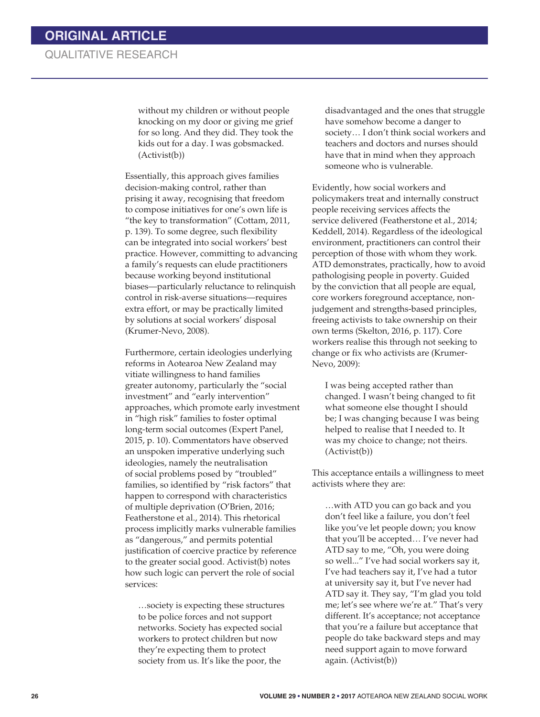# QUALITATIVE RESEARCH

without my children or without people knocking on my door or giving me grief for so long. And they did. They took the kids out for a day. I was gobsmacked. (Activist(b))

Essentially, this approach gives families decision-making control, rather than prising it away, recognising that freedom to compose initiatives for one's own life is "the key to transformation" (Cottam, 2011, p. 139). To some degree, such flexibility can be integrated into social workers' best practice. However, committing to advancing a family's requests can elude practitioners because working beyond institutional biases—particularly reluctance to relinquish control in risk-averse situations—requires extra effort, or may be practically limited by solutions at social workers' disposal (Krumer-Nevo, 2008).

Furthermore, certain ideologies underlying reforms in Aotearoa New Zealand may vitiate willingness to hand families greater autonomy, particularly the "social investment" and "early intervention" approaches, which promote early investment in "high risk" families to foster optimal long-term social outcomes (Expert Panel, 2015, p. 10). Commentators have observed an unspoken imperative underlying such ideologies, namely the neutralisation of social problems posed by "troubled" families, so identified by "risk factors" that happen to correspond with characteristics of multiple deprivation (O'Brien, 2016; Featherstone et al., 2014). This rhetorical process implicitly marks vulnerable families as "dangerous," and permits potential justification of coercive practice by reference to the greater social good. Activist(b) notes how such logic can pervert the role of social services:

…society is expecting these structures to be police forces and not support networks. Society has expected social workers to protect children but now they're expecting them to protect society from us. It's like the poor, the

disadvantaged and the ones that struggle have somehow become a danger to society… I don't think social workers and teachers and doctors and nurses should have that in mind when they approach someone who is vulnerable.

Evidently, how social workers and policymakers treat and internally construct people receiving services affects the service delivered (Featherstone et al., 2014; Keddell, 2014). Regardless of the ideological environment, practitioners can control their perception of those with whom they work. ATD demonstrates, practically, how to avoid pathologising people in poverty. Guided by the conviction that all people are equal, core workers foreground acceptance, nonjudgement and strengths-based principles, freeing activists to take ownership on their own terms (Skelton, 2016, p. 117). Core workers realise this through not seeking to change or fix who activists are (Krumer-Nevo, 2009):

I was being accepted rather than changed. I wasn't being changed to fit what someone else thought I should be; I was changing because I was being helped to realise that I needed to. It was my choice to change; not theirs. (Activist(b))

This acceptance entails a willingness to meet activists where they are:

…with ATD you can go back and you don't feel like a failure, you don't feel like you've let people down; you know that you'll be accepted… I've never had ATD say to me, "Oh, you were doing so well..." I've had social workers say it, I've had teachers say it, I've had a tutor at university say it, but I've never had ATD say it. They say, "I'm glad you told me; let's see where we're at." That's very different. It's acceptance; not acceptance that you're a failure but acceptance that people do take backward steps and may need support again to move forward again. (Activist(b))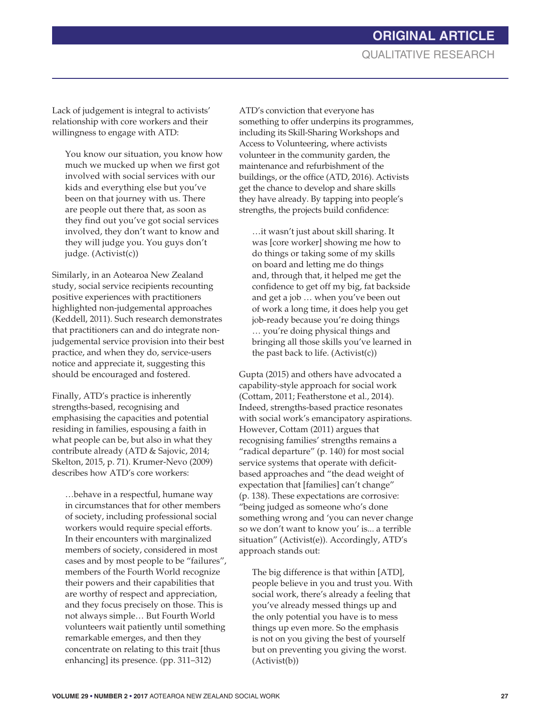Lack of judgement is integral to activists' relationship with core workers and their willingness to engage with ATD:

You know our situation, you know how much we mucked up when we first got involved with social services with our kids and everything else but you've been on that journey with us. There are people out there that, as soon as they find out you've got social services involved, they don't want to know and they will judge you. You guys don't judge. (Activist(c))

Similarly, in an Aotearoa New Zealand study, social service recipients recounting positive experiences with practitioners highlighted non-judgemental approaches (Keddell, 2011). Such research demonstrates that practitioners can and do integrate nonjudgemental service provision into their best practice, and when they do, service-users notice and appreciate it, suggesting this should be encouraged and fostered.

Finally, ATD's practice is inherently strengths-based, recognising and emphasising the capacities and potential residing in families, espousing a faith in what people can be, but also in what they contribute already (ATD & Sajovic, 2014; Skelton, 2015, p. 71). Krumer-Nevo (2009) describes how ATD's core workers:

…behave in a respectful, humane way in circumstances that for other members of society, including professional social workers would require special efforts. In their encounters with marginalized members of society, considered in most cases and by most people to be "failures", members of the Fourth World recognize their powers and their capabilities that are worthy of respect and appreciation, and they focus precisely on those. This is not always simple… But Fourth World volunteers wait patiently until something remarkable emerges, and then they concentrate on relating to this trait [thus enhancing] its presence. (pp. 311–312)

ATD's conviction that everyone has something to offer underpins its programmes, including its Skill-Sharing Workshops and Access to Volunteering, where activists volunteer in the community garden, the maintenance and refurbishment of the buildings, or the office (ATD, 2016). Activists get the chance to develop and share skills they have already. By tapping into people's strengths, the projects build confidence:

…it wasn't just about skill sharing. It was [core worker] showing me how to do things or taking some of my skills on board and letting me do things and, through that, it helped me get the confidence to get off my big, fat backside and get a job … when you've been out of work a long time, it does help you get job-ready because you're doing things … you're doing physical things and bringing all those skills you've learned in the past back to life. (Activist(c))

Gupta (2015) and others have advocated a capability-style approach for social work (Cottam, 2011; Featherstone et al., 2014). Indeed, strengths-based practice resonates with social work's emancipatory aspirations. However, Cottam (2011) argues that recognising families' strengths remains a "radical departure" (p. 140) for most social service systems that operate with deficitbased approaches and "the dead weight of expectation that [families] can't change" (p. 138). These expectations are corrosive: "being judged as someone who's done something wrong and 'you can never change so we don't want to know you' is... a terrible situation" (Activist(e)). Accordingly, ATD's approach stands out:

The big difference is that within [ATD], people believe in you and trust you. With social work, there's already a feeling that you've already messed things up and the only potential you have is to mess things up even more. So the emphasis is not on you giving the best of yourself but on preventing you giving the worst. (Activist(b))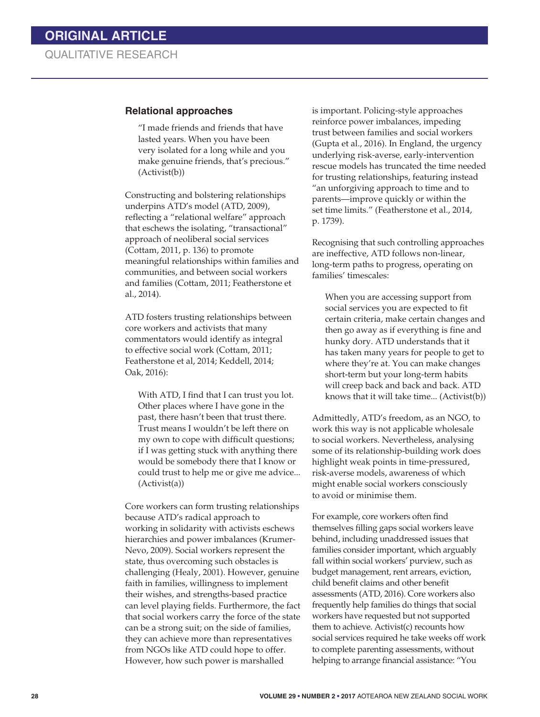### **Relational approaches**

"I made friends and friends that have lasted years. When you have been very isolated for a long while and you make genuine friends, that's precious." (Activist(b))

Constructing and bolstering relationships underpins ATD's model (ATD, 2009), reflecting a "relational welfare" approach that eschews the isolating, "transactional" approach of neoliberal social services (Cottam, 2011, p. 136) to promote meaningful relationships within families and communities, and between social workers and families (Cottam, 2011; Featherstone et al., 2014).

ATD fosters trusting relationships between core workers and activists that many commentators would identify as integral to effective social work (Cottam, 2011; Featherstone et al, 2014; Keddell, 2014; Oak, 2016):

With ATD, I find that I can trust you lot. Other places where I have gone in the past, there hasn't been that trust there. Trust means I wouldn't be left there on my own to cope with difficult questions; if I was getting stuck with anything there would be somebody there that I know or could trust to help me or give me advice... (Activist(a))

Core workers can form trusting relationships because ATD's radical approach to working in solidarity with activists eschews hierarchies and power imbalances (Krumer-Nevo, 2009). Social workers represent the state, thus overcoming such obstacles is challenging (Healy, 2001). However, genuine faith in families, willingness to implement their wishes, and strengths-based practice can level playing fields. Furthermore, the fact that social workers carry the force of the state can be a strong suit; on the side of families, they can achieve more than representatives from NGOs like ATD could hope to offer. However, how such power is marshalled

is important. Policing-style approaches reinforce power imbalances, impeding trust between families and social workers (Gupta et al., 2016). In England, the urgency underlying risk-averse, early-intervention rescue models has truncated the time needed for trusting relationships, featuring instead "an unforgiving approach to time and to parents—improve quickly or within the set time limits." (Featherstone et al., 2014, p. 1739).

Recognising that such controlling approaches are ineffective, ATD follows non-linear, long-term paths to progress, operating on families' timescales:

When you are accessing support from social services you are expected to fit certain criteria, make certain changes and then go away as if everything is fine and hunky dory. ATD understands that it has taken many years for people to get to where they're at. You can make changes short-term but your long-term habits will creep back and back and back. ATD knows that it will take time... (Activist(b))

Admittedly, ATD's freedom, as an NGO, to work this way is not applicable wholesale to social workers. Nevertheless, analysing some of its relationship-building work does highlight weak points in time-pressured, risk-averse models, awareness of which might enable social workers consciously to avoid or minimise them.

For example, core workers often find themselves filling gaps social workers leave behind, including unaddressed issues that families consider important, which arguably fall within social workers' purview, such as budget management, rent arrears, eviction, child benefit claims and other benefit assessments (ATD, 2016). Core workers also frequently help families do things that social workers have requested but not supported them to achieve. Activist(c) recounts how social services required he take weeks off work to complete parenting assessments, without helping to arrange financial assistance: "You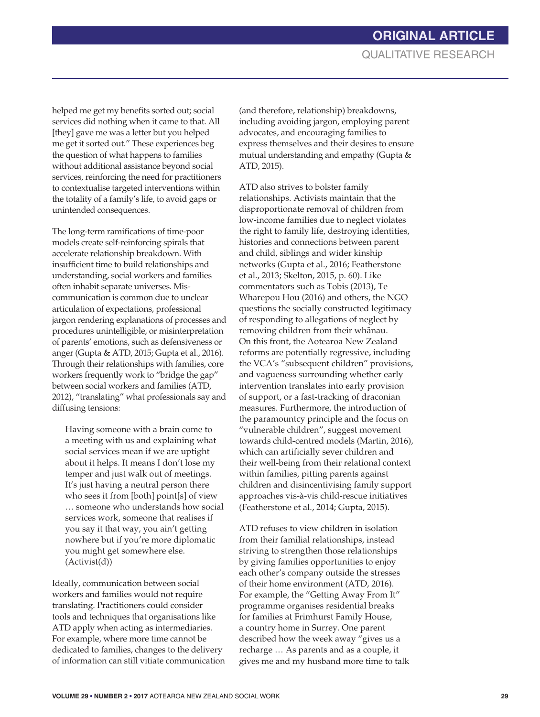helped me get my benefits sorted out; social services did nothing when it came to that. All [they] gave me was a letter but you helped me get it sorted out." These experiences beg the question of what happens to families without additional assistance beyond social services, reinforcing the need for practitioners to contextualise targeted interventions within the totality of a family's life, to avoid gaps or unintended consequences.

The long-term ramifications of time-poor models create self-reinforcing spirals that accelerate relationship breakdown. With insufficient time to build relationships and understanding, social workers and families often inhabit separate universes. Miscommunication is common due to unclear articulation of expectations, professional jargon rendering explanations of processes and procedures unintelligible, or misinterpretation of parents' emotions, such as defensiveness or anger (Gupta & ATD, 2015; Gupta et al., 2016). Through their relationships with families, core workers frequently work to "bridge the gap" between social workers and families (ATD, 2012), "translating" what professionals say and diffusing tensions:

Having someone with a brain come to a meeting with us and explaining what social services mean if we are uptight about it helps. It means I don't lose my temper and just walk out of meetings. It's just having a neutral person there who sees it from [both] point[s] of view … someone who understands how social services work, someone that realises if you say it that way, you ain't getting nowhere but if you're more diplomatic you might get somewhere else. (Activist(d))

Ideally, communication between social workers and families would not require translating. Practitioners could consider tools and techniques that organisations like ATD apply when acting as intermediaries. For example, where more time cannot be dedicated to families, changes to the delivery of information can still vitiate communication (and therefore, relationship) breakdowns, including avoiding jargon, employing parent advocates, and encouraging families to express themselves and their desires to ensure mutual understanding and empathy (Gupta & ATD, 2015).

ATD also strives to bolster family relationships. Activists maintain that the disproportionate removal of children from low-income families due to neglect violates the right to family life, destroying identities, histories and connections between parent and child, siblings and wider kinship networks (Gupta et al., 2016; Featherstone et al., 2013; Skelton, 2015, p. 60). Like commentators such as Tobis (2013), Te Wharepou Hou (2016) and others, the NGO questions the socially constructed legitimacy of responding to allegations of neglect by removing children from their whánau. On this front, the Aotearoa New Zealand reforms are potentially regressive, including the VCA's "subsequent children" provisions, and vagueness surrounding whether early intervention translates into early provision of support, or a fast-tracking of draconian measures. Furthermore, the introduction of the paramountcy principle and the focus on "vulnerable children", suggest movement towards child-centred models (Martin, 2016), which can artificially sever children and their well-being from their relational context within families, pitting parents against children and disincentivising family support approaches vis-à-vis child-rescue initiatives (Featherstone et al., 2014; Gupta, 2015).

ATD refuses to view children in isolation from their familial relationships, instead striving to strengthen those relationships by giving families opportunities to enjoy each other's company outside the stresses of their home environment (ATD, 2016). For example, the "Getting Away From It" programme organises residential breaks for families at Frimhurst Family House, a country home in Surrey. One parent described how the week away "gives us a recharge … As parents and as a couple, it gives me and my husband more time to talk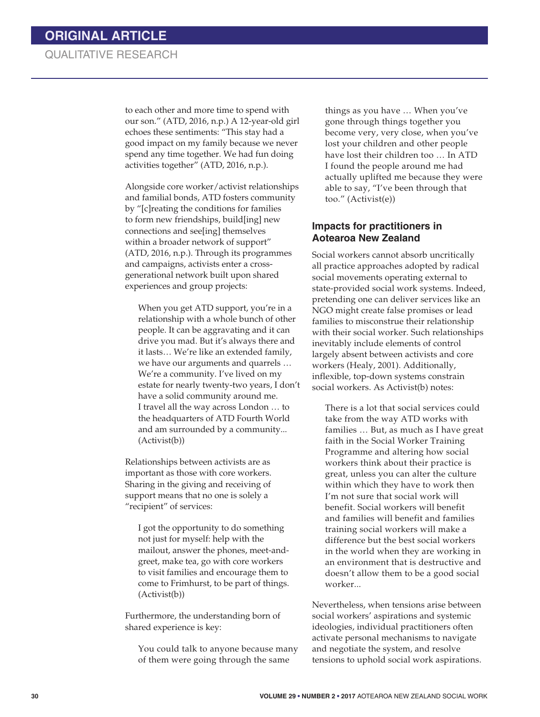to each other and more time to spend with our son." (ATD, 2016, n.p.) A 12-year-old girl echoes these sentiments: "This stay had a good impact on my family because we never spend any time together. We had fun doing activities together" (ATD, 2016, n.p.).

Alongside core worker/activist relationships and familial bonds, ATD fosters community by "[c]reating the conditions for families to form new friendships, build[ing] new connections and see[ing] themselves within a broader network of support" (ATD, 2016, n.p.). Through its programmes and campaigns, activists enter a crossgenerational network built upon shared experiences and group projects:

When you get ATD support, you're in a relationship with a whole bunch of other people. It can be aggravating and it can drive you mad. But it's always there and it lasts… We're like an extended family, we have our arguments and quarrels … We're a community. I've lived on my estate for nearly twenty-two years, I don't have a solid community around me. I travel all the way across London … to the headquarters of ATD Fourth World and am surrounded by a community... (Activist(b))

Relationships between activists are as important as those with core workers. Sharing in the giving and receiving of support means that no one is solely a "recipient" of services:

I got the opportunity to do something not just for myself: help with the mailout, answer the phones, meet-andgreet, make tea, go with core workers to visit families and encourage them to come to Frimhurst, to be part of things. (Activist(b))

Furthermore, the understanding born of shared experience is key:

You could talk to anyone because many of them were going through the same

things as you have … When you've gone through things together you become very, very close, when you've lost your children and other people have lost their children too … In ATD I found the people around me had actually uplifted me because they were able to say, "I've been through that too." (Activist(e))

### **Impacts for practitioners in Aotearoa New Zealand**

Social workers cannot absorb uncritically all practice approaches adopted by radical social movements operating external to state-provided social work systems. Indeed, pretending one can deliver services like an NGO might create false promises or lead families to misconstrue their relationship with their social worker. Such relationships inevitably include elements of control largely absent between activists and core workers (Healy, 2001). Additionally, inflexible, top-down systems constrain social workers. As Activist(b) notes:

There is a lot that social services could take from the way ATD works with families … But, as much as I have great faith in the Social Worker Training Programme and altering how social workers think about their practice is great, unless you can alter the culture within which they have to work then I'm not sure that social work will benefit. Social workers will benefit and families will benefit and families training social workers will make a difference but the best social workers in the world when they are working in an environment that is destructive and doesn't allow them to be a good social worker...

Nevertheless, when tensions arise between social workers' aspirations and systemic ideologies, individual practitioners often activate personal mechanisms to navigate and negotiate the system, and resolve tensions to uphold social work aspirations.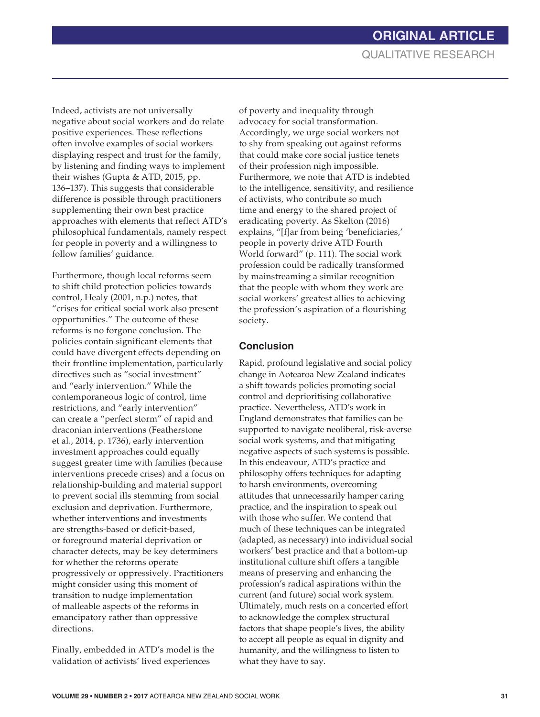Indeed, activists are not universally negative about social workers and do relate positive experiences. These reflections often involve examples of social workers displaying respect and trust for the family, by listening and finding ways to implement their wishes (Gupta & ATD, 2015, pp. 136–137). This suggests that considerable difference is possible through practitioners supplementing their own best practice approaches with elements that reflect ATD's philosophical fundamentals, namely respect for people in poverty and a willingness to follow families' guidance.

Furthermore, though local reforms seem to shift child protection policies towards control, Healy (2001, n.p.) notes, that "crises for critical social work also present opportunities." The outcome of these reforms is no forgone conclusion. The policies contain significant elements that could have divergent effects depending on their frontline implementation, particularly directives such as "social investment" and "early intervention." While the contemporaneous logic of control, time restrictions, and "early intervention" can create a "perfect storm" of rapid and draconian interventions (Featherstone et al., 2014, p. 1736), early intervention investment approaches could equally suggest greater time with families (because interventions precede crises) and a focus on relationship-building and material support to prevent social ills stemming from social exclusion and deprivation. Furthermore, whether interventions and investments are strengths-based or deficit-based, or foreground material deprivation or character defects, may be key determiners for whether the reforms operate progressively or oppressively. Practitioners might consider using this moment of transition to nudge implementation of malleable aspects of the reforms in emancipatory rather than oppressive directions.

Finally, embedded in ATD's model is the validation of activists' lived experiences

of poverty and inequality through advocacy for social transformation. Accordingly, we urge social workers not to shy from speaking out against reforms that could make core social justice tenets of their profession nigh impossible. Furthermore, we note that ATD is indebted to the intelligence, sensitivity, and resilience of activists, who contribute so much time and energy to the shared project of eradicating poverty. As Skelton (2016) explains, "[f]ar from being 'beneficiaries,' people in poverty drive ATD Fourth World forward" (p. 111). The social work profession could be radically transformed by mainstreaming a similar recognition that the people with whom they work are social workers' greatest allies to achieving the profession's aspiration of a flourishing society.

# **Conclusion**

Rapid, profound legislative and social policy change in Aotearoa New Zealand indicates a shift towards policies promoting social control and deprioritising collaborative practice. Nevertheless, ATD's work in England demonstrates that families can be supported to navigate neoliberal, risk-averse social work systems, and that mitigating negative aspects of such systems is possible. In this endeavour, ATD's practice and philosophy offers techniques for adapting to harsh environments, overcoming attitudes that unnecessarily hamper caring practice, and the inspiration to speak out with those who suffer. We contend that much of these techniques can be integrated (adapted, as necessary) into individual social workers' best practice and that a bottom-up institutional culture shift offers a tangible means of preserving and enhancing the profession's radical aspirations within the current (and future) social work system. Ultimately, much rests on a concerted effort to acknowledge the complex structural factors that shape people's lives, the ability to accept all people as equal in dignity and humanity, and the willingness to listen to what they have to say.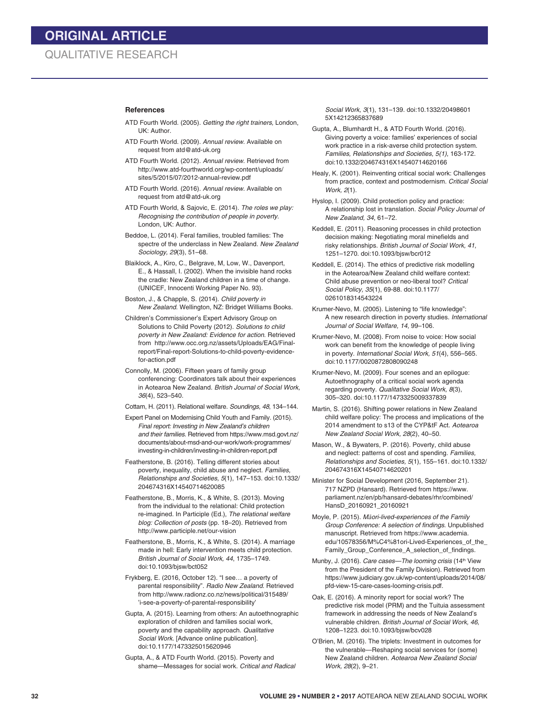#### **References**

- ATD Fourth World. (2005). *Getting the right trainers,* London, UK: Author.
- ATD Fourth World. (2009). *Annual review*. Available on request from atd@atd-uk.org
- ATD Fourth World. (2012). *Annual review*. Retrieved from http://www.atd-fourthworld.org/wp-content/uploads/ sites/5/2015/07/2012-annual-review.pdf
- ATD Fourth World. (2016). *Annual review*. Available on request from atd@atd-uk.org
- ATD Fourth World, & Sajovic, E. (2014). *The roles we play: Recognising the contribution of people in poverty*. London, UK: Author.
- Beddoe, L. (2014). Feral families, troubled families: The spectre of the underclass in New Zealand. *New Zealand Sociology, 29*(3), 51–68.
- Blaiklock, A., Kiro, C., Belgrave, M, Low, W., Davenport, E., & Hassall, I. (2002). When the invisible hand rocks the cradle: New Zealand children in a time of change. (UNICEF, Innocenti Working Paper No. 93).
- Boston, J., & Chapple, S. (2014). *Child poverty in New Zealand*. Wellington, NZ: Bridget Williams Books.
- Children's Commissioner's Expert Advisory Group on Solutions to Child Poverty (2012). *Solutions to child poverty in New Zealand: Evidence for action*. Retrieved from http://www.occ.org.nz/assets/Uploads/EAG/Finalreport/Final-report-Solutions-to-child-poverty-evidencefor-action.pdf
- Connolly, M. (2006). Fifteen years of family group conferencing: Coordinators talk about their experiences in Aotearoa New Zealand. *British Journal of Social Work, 36*(4), 523–540.
- Cottam, H. (2011). Relational welfare. *Soundings, 48*, 134–144.
- Expert Panel on Modernising Child Youth and Family. (2015). *Final report: Investing in New Zealand's children and their families*. Retrieved from https://www.msd.govt.nz/ documents/about-msd-and-our-work/work-programmes/ investing-in-children/investing-in-children-report.pdf
- Featherstone, B. (2016). Telling different stories about poverty, inequality, child abuse and neglect. *Families, Relationships and Societies, 5*(1), 147–153. doi:10.1332/ 204674316X14540714620085
- Featherstone, B., Morris, K., & White, S. (2013). Moving from the individual to the relational: Child protection re-imagined. In Participle (Ed.), *The relational welfare blog: Collection of posts* (pp. 18–20). Retrieved from http://www.participle.net/our-vision
- Featherstone, B., Morris, K., & White, S. (2014). A marriage made in hell: Early intervention meets child protection. *British Journal of Social Work, 44*, 1735–1749. doi:10.1093/bjsw/bct052
- Frykberg, E. (2016, October 12). "I see… a poverty of parental responsibility". *Radio New Zealand*. Retrieved from http://www.radionz.co.nz/news/political/315489/ 'i-see-a-poverty-of-parental-responsibility'
- Gupta, A. (2015). Learning from others: An autoethnographic exploration of children and families social work, poverty and the capability approach. *Qualitative Social Work*. [Advance online publication]. doi:10.1177/1473325015620946
- Gupta, A., & ATD Fourth World. (2015). Poverty and shame—Messages for social work. *Critical and Radical*

*Social Work, 3*(1), 131–139. doi:10.1332/20498601 5X14212365837689

Gupta, A., Blumhardt H., & ATD Fourth World. (2016). Giving poverty a voice: families' experiences of social work practice in a risk-averse child protection system. *Families, Relationships and Societies, 5(1)*, 163-172. doi:10.1332/204674316X14540714620166

- Healy, K. (2001). Reinventing critical social work: Challenges from practice, context and postmodernism. *Critical Social Work, 2*(1).
- Hyslop, I. (2009). Child protection policy and practice: A relationship lost in translation. *Social Policy Journal of New Zealand, 34*, 61–72.

Keddell, E. (2011). Reasoning processes in child protection decision making: Negotiating moral minefields and risky relationships. *British Journal of Social Work, 41*, 1251–1270. doi:10.1093/bjsw/bcr012

- Keddell, E. (2014). The ethics of predictive risk modelling in the Aotearoa/New Zealand child welfare context: Child abuse prevention or neo-liberal tool? *Critical Social Policy, 35*(1), 69-88. doi:10.1177/ 0261018314543224
- Krumer-Nevo, M. (2005). Listening to "life knowledge": A new research direction in poverty studies. *International Journal of Social Welfare, 14*, 99–106.
- Krumer-Nevo, M. (2008). From noise to voice: How social work can benefit from the knowledge of people living in poverty. *International Social Work, 51*(4), 556–565. doi:10.1177/0020872808090248
- Krumer-Nevo, M. (2009). Four scenes and an epilogue: Autoethnography of a critical social work agenda regarding poverty. *Qualitative Social Work, 8*(3), 305–320. doi:10.1177/1473325009337839
- Martin, S. (2016). Shifting power relations in New Zealand child welfare policy: The process and implications of the 2014 amendment to s13 of the CYP&tF Act. *Aotearoa New Zealand Social Work, 28*(2), 40–50.
- Mason, W., & Bywaters, P. (2016). Poverty, child abuse and neglect: patterns of cost and spending. *Families, Relationships and Societies, 5*(1), 155–161. doi:10.1332/ 204674316X14540714620201
- Minister for Social Development (2016, September 21). 717 NZPD (Hansard). Retrieved from https://www. parliament.nz/en/pb/hansard-debates/rhr/combined/ HansD\_20160921\_20160921
- Moyle, P. (2015). *M*á*ori-lived-experiences of the Family Group Conference: A selection of findings*. Unpublished manuscript. Retrieved from https://www.academia. edu/10578356/M%C4%81ori-Lived-Experiences\_of\_the\_ Family\_Group\_Conference\_A\_selection\_of\_findings.
- Munby, J. (2016). *Care cases—The looming crisis* (14<sup>th</sup> View from the President of the Family Division). Retrieved from https://www.judiciary.gov.uk/wp-content/uploads/2014/08/ pfd-view-15-care-cases-looming-crisis.pdf.
- Oak, E. (2016). A minority report for social work? The predictive risk model (PRM) and the Tuituia assessment framework in addressing the needs of New Zealand's vulnerable children. *British Journal of Social Work, 46*, 1208–1223. doi:10.1093/bjsw/bcv028
- O'Brien, M. (2016). The triplets: Investment in outcomes for the vulnerable—Reshaping social services for (some) New Zealand children. *Aotearoa New Zealand Social Work, 28*(2), 9–21.